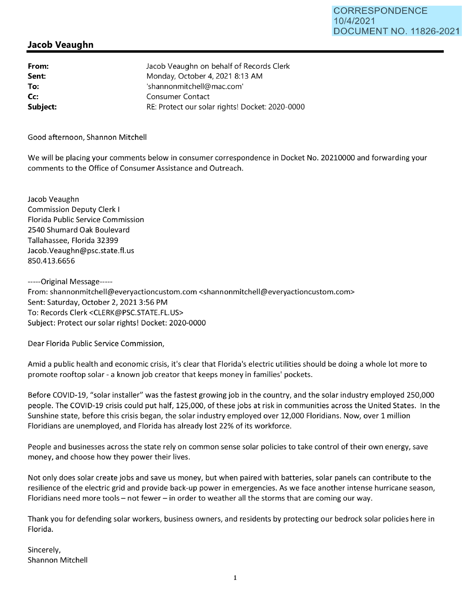## **Jacob Veaughn**

**From: Sent: To: Cc: Subject:**  Jacob Veaughn on behalf of Records Clerk Monday, October 4, 2021 8:13 **AM**  'shannonmitchell@mac.com' Consumer Contact RE: Protect our solar rights! Docket: 2020-0000

Good afternoon, Shannon Mitchell

We will be placing your comments below in consumer correspondence in Docket No. 20210000 and forwarding your comments to the Office of Consumer Assistance and Outreach.

Jacob Veaughn Commission Deputy Clerk I Florida Public Service Commission 2540 Shumard Oak Boulevard Tallahassee, Florida 32399 Jacob. Veaughn@psc.state.fl.us 850.413.6656

-----Original Message----- From: shannonmitchell@everyactioncustom.com <shannonmitchell@everyactioncustom.com> Sent: Saturday, October 2, 2021 3:56 PM To: Records Clerk <CLERK@PSC.STATE.FL.US> Subject: Protect our solar rights! Docket: 2020-0000

Dear Florida Public Service Commission,

Amid a public health and economic crisis, it's clear that Florida's electric utilities should be doing a whole lot more to promote rooftop solar - a known job creator that keeps money in families' pockets.

Before COVID-19, "solar installer" was the fastest growing job in the country, and the solar industry employed 250,000 people. The COVID-19 crisis could put half, 125,000, of these jobs at risk in communities across the United States. In the Sunshine state, before this crisis began, the solar industry employed over 12,000 Floridians. Now, over 1 million Floridians are unemployed, and Florida has already lost 22% of its workforce.

People and businesses across the state rely on common sense solar policies to take control of their own energy, save money, and choose how they power their lives.

Not only does solar create jobs and save us money, but when paired with batteries, solar panels can contribute to the resilience of the electric grid and provide back-up power in emergencies. As we face another intense hurricane season, Floridians need more tools - not fewer - in order to weather all the storms that are coming our way.

Thank you for defending solar workers, business owners, and residents by protecting our bedrock solar policies here in Florida.

Sincerely, Shannon Mitchell